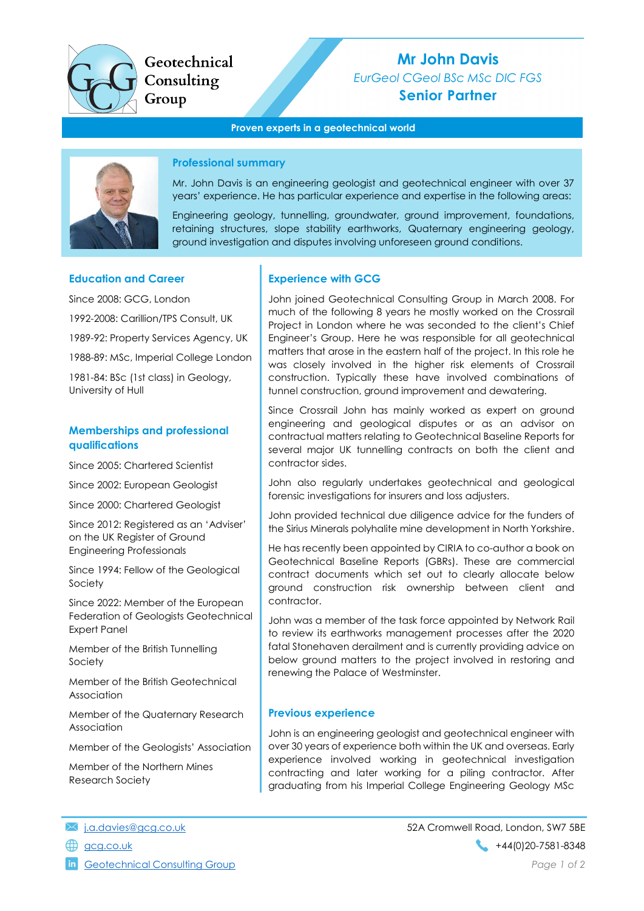

Geotechnical Consulting Group

# Mr John Davis EurGeol CGeol BSc MSc DIC FGS Senior Partner

#### Proven experts in a geotechnical world



#### Professional summary

Mr. John Davis is an engineering geologist and geotechnical engineer with over 37 years' experience. He has particular experience and expertise in the following areas:

Engineering geology, tunnelling, groundwater, ground improvement, foundations, retaining structures, slope stability earthworks, Quaternary engineering geology, ground investigation and disputes involving unforeseen ground conditions.

#### Education and Career

Since 2008: GCG, London 1992-2008: Carillion/TPS Consult, UK 1989-92: Property Services Agency, UK 1988-89: MSc, Imperial College London 1981-84: BSc (1st class) in Geology, University of Hull

## Memberships and professional qualifications

Since 2005: Chartered Scientist

Since 2002: European Geologist

Since 2000: Chartered Geologist

Since 2012: Registered as an 'Adviser' on the UK Register of Ground Engineering Professionals

Since 1994: Fellow of the Geological Society

Since 2022: Member of the European Federation of Geologists Geotechnical Expert Panel

Member of the British Tunnelling Society

Member of the British Geotechnical Association

Member of the Quaternary Research Association

Member of the Geologists' Association

Member of the Northern Mines Research Society

## Experience with GCG

John joined Geotechnical Consulting Group in March 2008. For much of the following 8 years he mostly worked on the Crossrail Project in London where he was seconded to the client's Chief Engineer's Group. Here he was responsible for all geotechnical matters that arose in the eastern half of the project. In this role he was closely involved in the higher risk elements of Crossrail construction. Typically these have involved combinations of tunnel construction, ground improvement and dewatering.

Since Crossrail John has mainly worked as expert on ground engineering and geological disputes or as an advisor on contractual matters relating to Geotechnical Baseline Reports for several major UK tunnelling contracts on both the client and contractor sides.

John also regularly undertakes geotechnical and geological forensic investigations for insurers and loss adjusters.

John provided technical due diligence advice for the funders of the Sirius Minerals polyhalite mine development in North Yorkshire.

He has recently been appointed by CIRIA to co-author a book on Geotechnical Baseline Reports (GBRs). These are commercial contract documents which set out to clearly allocate below ground construction risk ownership between client and contractor.

John was a member of the task force appointed by Network Rail to review its earthworks management processes after the 2020 fatal Stonehaven derailment and is currently providing advice on below ground matters to the project involved in restoring and renewing the Palace of Westminster.

#### Previous experience

John is an engineering geologist and geotechnical engineer with over 30 years of experience both within the UK and overseas. Early experience involved working in geotechnical investigation contracting and later working for a piling contractor. After graduating from his Imperial College Engineering Geology MSc

**in** Geotechnical Consulting Group **Page 1 of 2** and 2 and 2 and 2 and 2 and 2 and 2 and 2 and 2 and 2 and 2 and 2 and 2 and 2 and 2 and 2 and 2 and 2 and 2 and 2 and 2 and 2 and 2 and 2 and 2 and 2 and 2 and 2 and 2 and 2

j.a.davies@gcg.co.uk 52A Cromwell Road, London, SW7 5BE  $\bigoplus$  gcg.co.uk +44(0)20-7581-8348